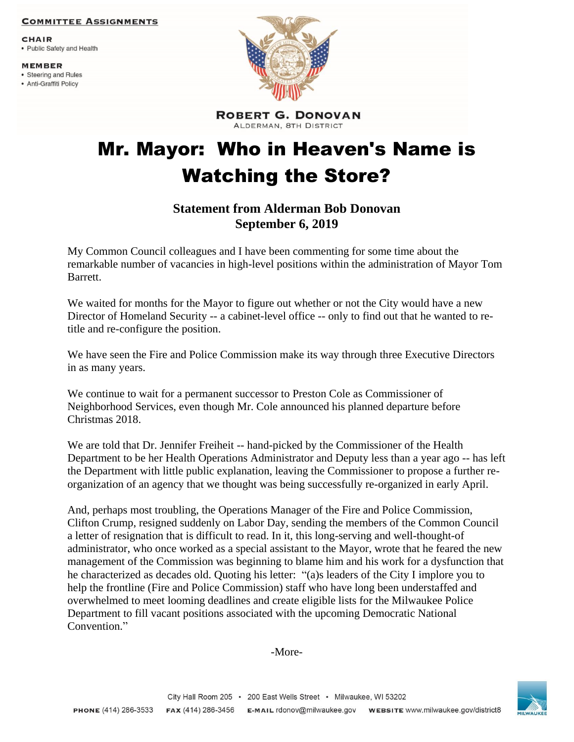## **COMMITTEE ASSIGNMENTS**

**CHAIR** 

• Public Safety and Health

**MEMBER** 

- Steering and Rules
- Anti-Graffiti Policy



**ROBERT G. DONOVAN** ALDERMAN, 8TH DISTRICT

## Mr. Mayor: Who in Heaven's Name is Watching the Store?

## **Statement from Alderman Bob Donovan September 6, 2019**

My Common Council colleagues and I have been commenting for some time about the remarkable number of vacancies in high-level positions within the administration of Mayor Tom Barrett.

We waited for months for the Mayor to figure out whether or not the City would have a new Director of Homeland Security -- a cabinet-level office -- only to find out that he wanted to retitle and re-configure the position.

We have seen the Fire and Police Commission make its way through three Executive Directors in as many years.

We continue to wait for a permanent successor to Preston Cole as Commissioner of Neighborhood Services, even though Mr. Cole announced his planned departure before Christmas 2018.

We are told that Dr. Jennifer Freiheit -- hand-picked by the Commissioner of the Health Department to be her Health Operations Administrator and Deputy less than a year ago -- has left the Department with little public explanation, leaving the Commissioner to propose a further reorganization of an agency that we thought was being successfully re-organized in early April.

And, perhaps most troubling, the Operations Manager of the Fire and Police Commission, Clifton Crump, resigned suddenly on Labor Day, sending the members of the Common Council a letter of resignation that is difficult to read. In it, this long-serving and well-thought-of administrator, who once worked as a special assistant to the Mayor, wrote that he feared the new management of the Commission was beginning to blame him and his work for a dysfunction that he characterized as decades old. Quoting his letter: "(a)s leaders of the City I implore you to help the frontline (Fire and Police Commission) staff who have long been understaffed and overwhelmed to meet looming deadlines and create eligible lists for the Milwaukee Police Department to fill vacant positions associated with the upcoming Democratic National Convention."

-More-